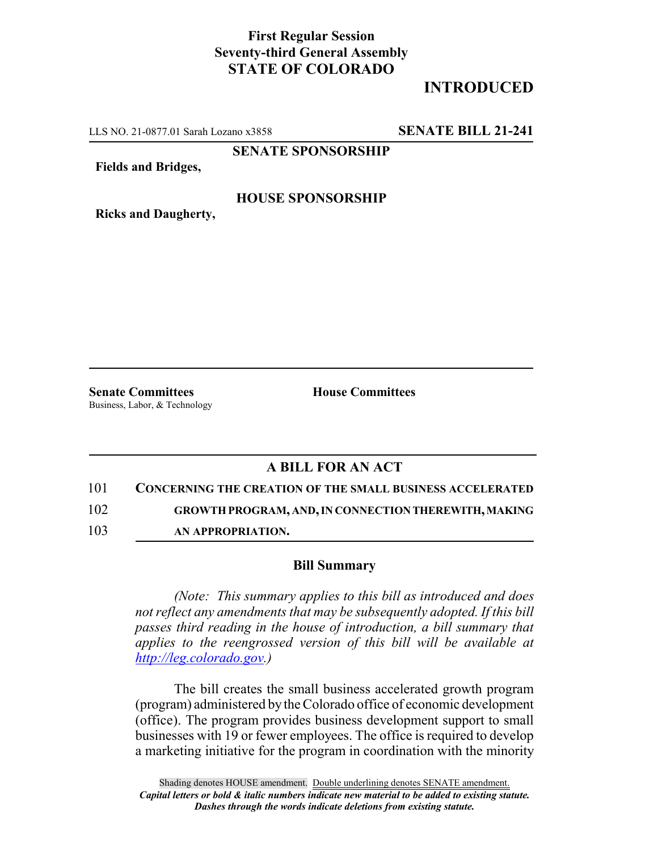## **First Regular Session Seventy-third General Assembly STATE OF COLORADO**

# **INTRODUCED**

LLS NO. 21-0877.01 Sarah Lozano x3858 **SENATE BILL 21-241**

**SENATE SPONSORSHIP**

**Fields and Bridges,**

### **HOUSE SPONSORSHIP**

**Ricks and Daugherty,**

**Senate Committees House Committees** Business, Labor, & Technology

## **A BILL FOR AN ACT**

101 **CONCERNING THE CREATION OF THE SMALL BUSINESS ACCELERATED**

102 **GROWTH PROGRAM, AND, IN CONNECTION THEREWITH, MAKING**

103 **AN APPROPRIATION.**

#### **Bill Summary**

*(Note: This summary applies to this bill as introduced and does not reflect any amendments that may be subsequently adopted. If this bill passes third reading in the house of introduction, a bill summary that applies to the reengrossed version of this bill will be available at http://leg.colorado.gov.)*

The bill creates the small business accelerated growth program (program) administered by the Colorado office of economic development (office). The program provides business development support to small businesses with 19 or fewer employees. The office is required to develop a marketing initiative for the program in coordination with the minority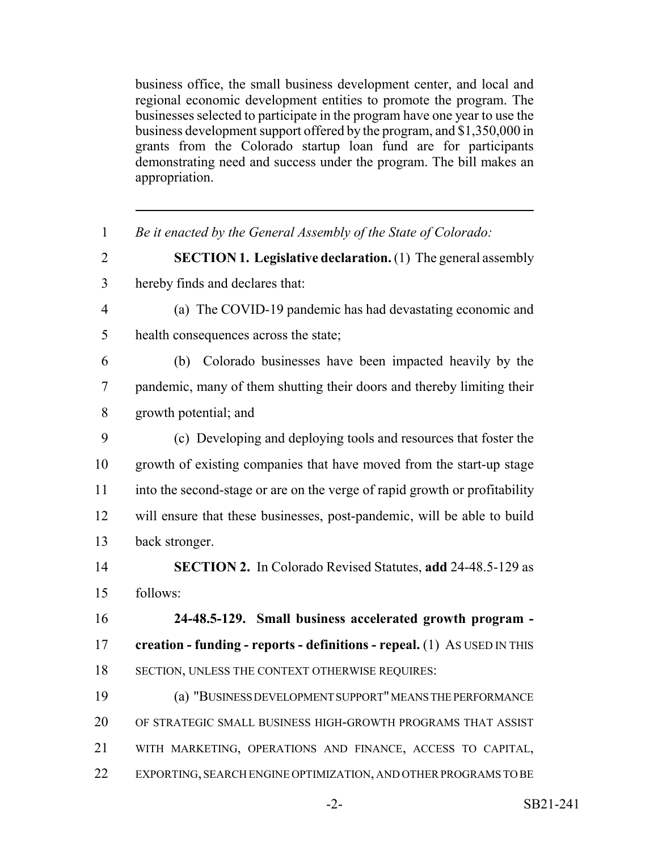business office, the small business development center, and local and regional economic development entities to promote the program. The businesses selected to participate in the program have one year to use the business development support offered by the program, and \$1,350,000 in grants from the Colorado startup loan fund are for participants demonstrating need and success under the program. The bill makes an appropriation.

| $\mathbf{1}$   | Be it enacted by the General Assembly of the State of Colorado:            |
|----------------|----------------------------------------------------------------------------|
| $\overline{2}$ | <b>SECTION 1. Legislative declaration.</b> (1) The general assembly        |
| $\overline{3}$ | hereby finds and declares that:                                            |
| $\overline{4}$ | (a) The COVID-19 pandemic has had devastating economic and                 |
| 5              | health consequences across the state;                                      |
| 6              | (b) Colorado businesses have been impacted heavily by the                  |
| $\tau$         | pandemic, many of them shutting their doors and thereby limiting their     |
| 8              | growth potential; and                                                      |
| 9              | (c) Developing and deploying tools and resources that foster the           |
| 10             | growth of existing companies that have moved from the start-up stage       |
| 11             | into the second-stage or are on the verge of rapid growth or profitability |
| 12             | will ensure that these businesses, post-pandemic, will be able to build    |
| 13             | back stronger.                                                             |
| 14             | <b>SECTION 2.</b> In Colorado Revised Statutes, add 24-48.5-129 as         |
| 15             | follows:                                                                   |
| 16             | 24-48.5-129. Small business accelerated growth program -                   |
| 17             | creation - funding - reports - definitions - repeal. (1) As USED IN THIS   |
| 18             | SECTION, UNLESS THE CONTEXT OTHERWISE REQUIRES:                            |
| 19             | (a) "BUSINESS DEVELOPMENT SUPPORT" MEANS THE PERFORMANCE                   |
| 20             | OF STRATEGIC SMALL BUSINESS HIGH-GROWTH PROGRAMS THAT ASSIST               |
| 21             | WITH MARKETING, OPERATIONS AND FINANCE, ACCESS TO CAPITAL,                 |
| 22             | EXPORTING, SEARCH ENGINE OPTIMIZATION, AND OTHER PROGRAMS TO BE            |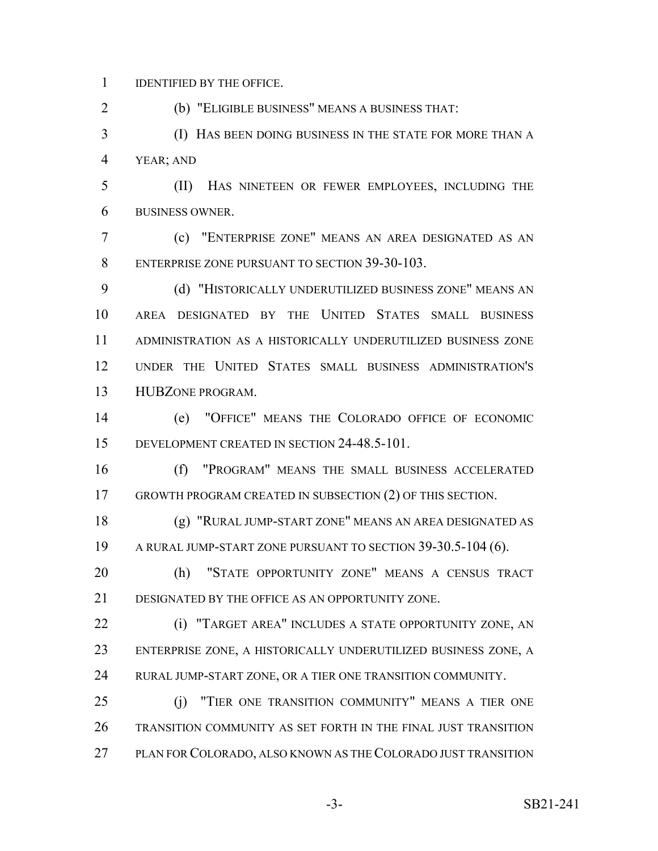IDENTIFIED BY THE OFFICE.

(b) "ELIGIBLE BUSINESS" MEANS A BUSINESS THAT:

 (I) HAS BEEN DOING BUSINESS IN THE STATE FOR MORE THAN A YEAR; AND

 (II) HAS NINETEEN OR FEWER EMPLOYEES, INCLUDING THE BUSINESS OWNER.

 (c) "ENTERPRISE ZONE" MEANS AN AREA DESIGNATED AS AN ENTERPRISE ZONE PURSUANT TO SECTION 39-30-103.

 (d) "HISTORICALLY UNDERUTILIZED BUSINESS ZONE" MEANS AN AREA DESIGNATED BY THE UNITED STATES SMALL BUSINESS ADMINISTRATION AS A HISTORICALLY UNDERUTILIZED BUSINESS ZONE UNDER THE UNITED STATES SMALL BUSINESS ADMINISTRATION'S HUBZONE PROGRAM.

 (e) "OFFICE" MEANS THE COLORADO OFFICE OF ECONOMIC DEVELOPMENT CREATED IN SECTION 24-48.5-101.

 (f) "PROGRAM" MEANS THE SMALL BUSINESS ACCELERATED GROWTH PROGRAM CREATED IN SUBSECTION (2) OF THIS SECTION.

 (g) "RURAL JUMP-START ZONE" MEANS AN AREA DESIGNATED AS A RURAL JUMP-START ZONE PURSUANT TO SECTION 39-30.5-104 (6).

 (h) "STATE OPPORTUNITY ZONE" MEANS A CENSUS TRACT DESIGNATED BY THE OFFICE AS AN OPPORTUNITY ZONE.

 (i) "TARGET AREA" INCLUDES A STATE OPPORTUNITY ZONE, AN ENTERPRISE ZONE, A HISTORICALLY UNDERUTILIZED BUSINESS ZONE, A RURAL JUMP-START ZONE, OR A TIER ONE TRANSITION COMMUNITY.

 (j) "TIER ONE TRANSITION COMMUNITY" MEANS A TIER ONE TRANSITION COMMUNITY AS SET FORTH IN THE FINAL JUST TRANSITION PLAN FOR COLORADO, ALSO KNOWN AS THE COLORADO JUST TRANSITION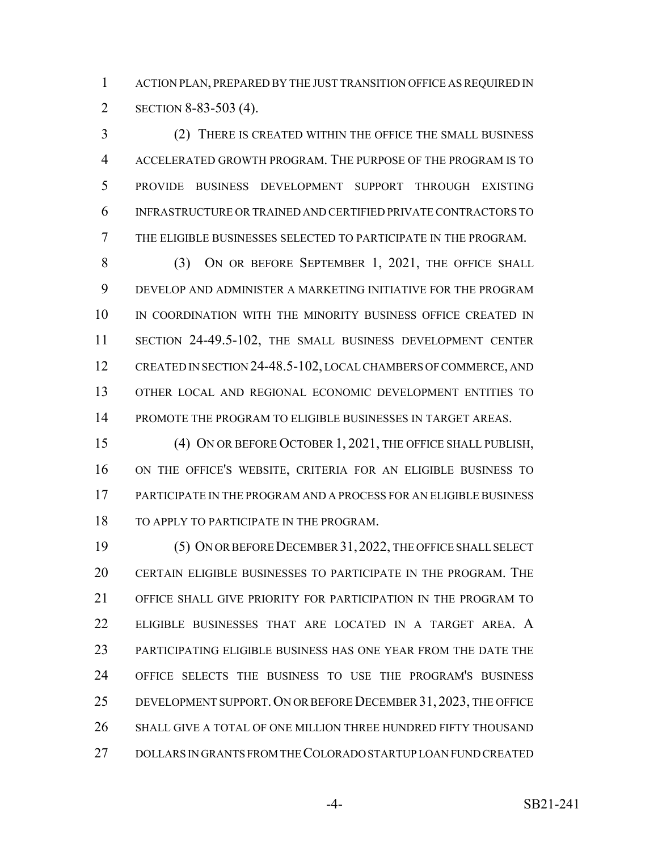ACTION PLAN, PREPARED BY THE JUST TRANSITION OFFICE AS REQUIRED IN SECTION 8-83-503 (4).

 (2) THERE IS CREATED WITHIN THE OFFICE THE SMALL BUSINESS ACCELERATED GROWTH PROGRAM. THE PURPOSE OF THE PROGRAM IS TO PROVIDE BUSINESS DEVELOPMENT SUPPORT THROUGH EXISTING INFRASTRUCTURE OR TRAINED AND CERTIFIED PRIVATE CONTRACTORS TO THE ELIGIBLE BUSINESSES SELECTED TO PARTICIPATE IN THE PROGRAM.

 (3) ON OR BEFORE SEPTEMBER 1, 2021, THE OFFICE SHALL DEVELOP AND ADMINISTER A MARKETING INITIATIVE FOR THE PROGRAM IN COORDINATION WITH THE MINORITY BUSINESS OFFICE CREATED IN SECTION 24-49.5-102, THE SMALL BUSINESS DEVELOPMENT CENTER 12 CREATED IN SECTION 24-48.5-102, LOCAL CHAMBERS OF COMMERCE, AND OTHER LOCAL AND REGIONAL ECONOMIC DEVELOPMENT ENTITIES TO PROMOTE THE PROGRAM TO ELIGIBLE BUSINESSES IN TARGET AREAS.

 (4) ON OR BEFORE OCTOBER 1, 2021, THE OFFICE SHALL PUBLISH, ON THE OFFICE'S WEBSITE, CRITERIA FOR AN ELIGIBLE BUSINESS TO PARTICIPATE IN THE PROGRAM AND A PROCESS FOR AN ELIGIBLE BUSINESS 18 TO APPLY TO PARTICIPATE IN THE PROGRAM.

 (5) ON OR BEFORE DECEMBER 31,2022, THE OFFICE SHALL SELECT CERTAIN ELIGIBLE BUSINESSES TO PARTICIPATE IN THE PROGRAM. THE OFFICE SHALL GIVE PRIORITY FOR PARTICIPATION IN THE PROGRAM TO ELIGIBLE BUSINESSES THAT ARE LOCATED IN A TARGET AREA. A PARTICIPATING ELIGIBLE BUSINESS HAS ONE YEAR FROM THE DATE THE OFFICE SELECTS THE BUSINESS TO USE THE PROGRAM'S BUSINESS 25 DEVELOPMENT SUPPORT. ON OR BEFORE DECEMBER 31, 2023, THE OFFICE SHALL GIVE A TOTAL OF ONE MILLION THREE HUNDRED FIFTY THOUSAND DOLLARS IN GRANTS FROM THE COLORADO STARTUP LOAN FUND CREATED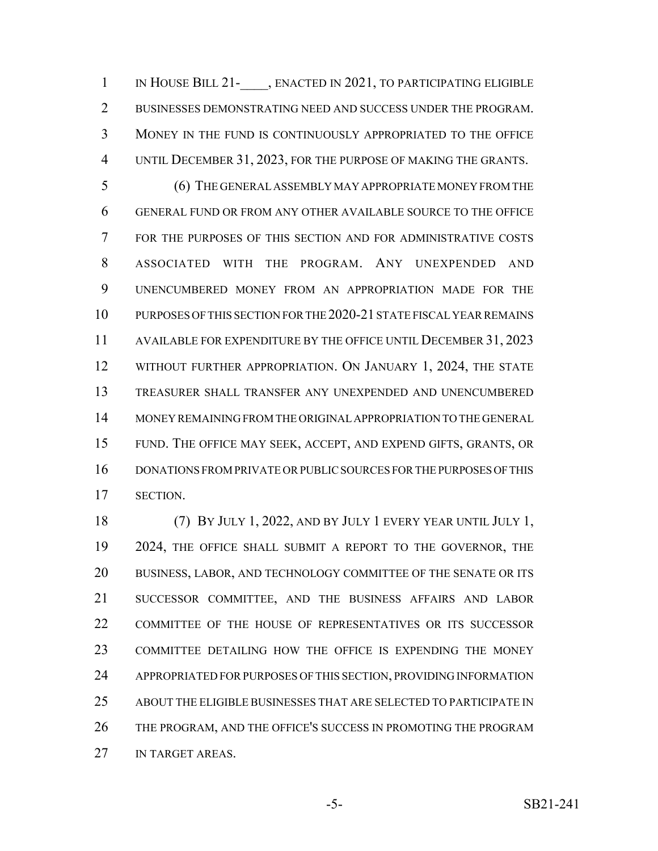1 IN HOUSE BILL 21- , ENACTED IN 2021, TO PARTICIPATING ELIGIBLE BUSINESSES DEMONSTRATING NEED AND SUCCESS UNDER THE PROGRAM. MONEY IN THE FUND IS CONTINUOUSLY APPROPRIATED TO THE OFFICE UNTIL DECEMBER 31, 2023, FOR THE PURPOSE OF MAKING THE GRANTS.

 (6) THE GENERAL ASSEMBLY MAY APPROPRIATE MONEY FROM THE GENERAL FUND OR FROM ANY OTHER AVAILABLE SOURCE TO THE OFFICE FOR THE PURPOSES OF THIS SECTION AND FOR ADMINISTRATIVE COSTS ASSOCIATED WITH THE PROGRAM. ANY UNEXPENDED AND UNENCUMBERED MONEY FROM AN APPROPRIATION MADE FOR THE PURPOSES OF THIS SECTION FOR THE 2020-21 STATE FISCAL YEAR REMAINS AVAILABLE FOR EXPENDITURE BY THE OFFICE UNTIL DECEMBER 31, 2023 12 WITHOUT FURTHER APPROPRIATION. ON JANUARY 1, 2024, THE STATE TREASURER SHALL TRANSFER ANY UNEXPENDED AND UNENCUMBERED MONEY REMAINING FROM THE ORIGINAL APPROPRIATION TO THE GENERAL FUND. THE OFFICE MAY SEEK, ACCEPT, AND EXPEND GIFTS, GRANTS, OR DONATIONS FROM PRIVATE OR PUBLIC SOURCES FOR THE PURPOSES OF THIS SECTION.

 (7) BY JULY 1, 2022, AND BY JULY 1 EVERY YEAR UNTIL JULY 1, 19 2024, THE OFFICE SHALL SUBMIT A REPORT TO THE GOVERNOR, THE BUSINESS, LABOR, AND TECHNOLOGY COMMITTEE OF THE SENATE OR ITS SUCCESSOR COMMITTEE, AND THE BUSINESS AFFAIRS AND LABOR COMMITTEE OF THE HOUSE OF REPRESENTATIVES OR ITS SUCCESSOR COMMITTEE DETAILING HOW THE OFFICE IS EXPENDING THE MONEY APPROPRIATED FOR PURPOSES OF THIS SECTION, PROVIDING INFORMATION ABOUT THE ELIGIBLE BUSINESSES THAT ARE SELECTED TO PARTICIPATE IN THE PROGRAM, AND THE OFFICE'S SUCCESS IN PROMOTING THE PROGRAM 27 IN TARGET AREAS.